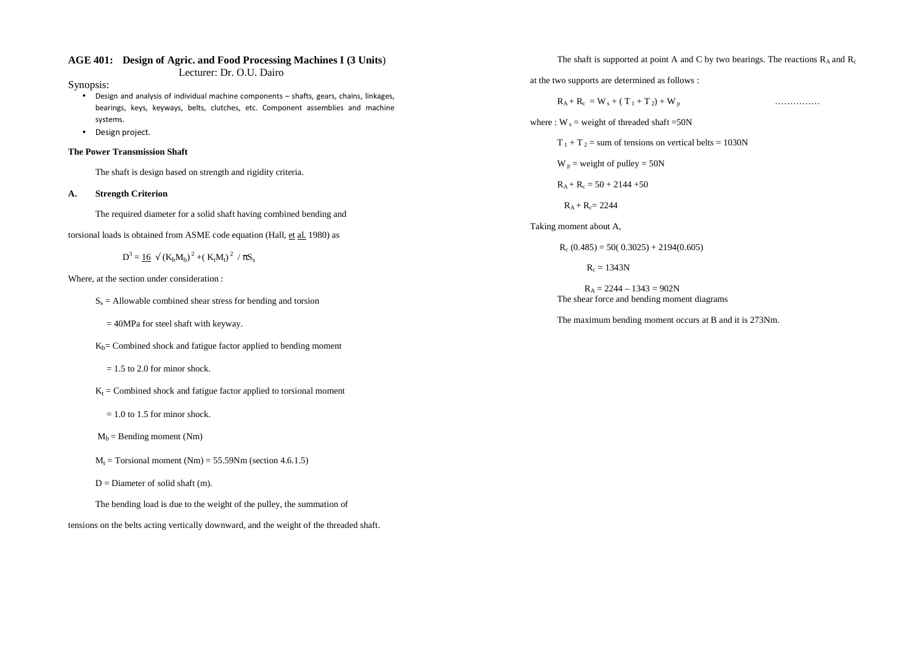## **AGE 401: Design of Agric. and Food Processing Machines I (3 Units**)

Lecturer: Dr. O.U. Dairo

Synopsis:

- Design and analysis of individual machine components shafts, gears, chains, linkages, bearings, keys, keyways, belts, clutches, etc. Component assemblies and machine systems.
- Design project.

#### **The Power Transmission Shaft**

The shaft is design based on strength and rigidity criteria.

#### **A. Strength Criterion**

The required diameter for a solid shaft having combined bending and

torsional loads is obtained from ASME code equation (Hall, et al. 1980) as

$$
D^3 = \underline{16} \sqrt{(K_b M_b)^2 + (K_t M_t)^2}/\pi S_s
$$

Where, at the section under consideration :

- $S<sub>s</sub>$  = Allowable combined shear stress for bending and torsion
	- $= 40MPa$  for steel shaft with keyway.
- $K_b$ = Combined shock and fatigue factor applied to bending moment
	- $= 1.5$  to 2.0 for minor shock.
- $K_t$  = Combined shock and fatigue factor applied to torsional moment
	- $= 1.0$  to 1.5 for minor shock.
- $M_b$  = Bending moment (Nm)
- $M_t$  = Torsional moment (Nm) = 55.59Nm (section 4.6.1.5)
- $D =$  Diameter of solid shaft (m).

The bending load is due to the weight of the pulley, the summation of

#### tensions on the belts acting vertically downward, and the weight of the threaded shaft.

The shaft is supported at point A and C by two bearings. The reactions  $R_A$  and  $R_c$ 

at the two supports are determined as follows :

<sup>R</sup>A + R<sup>c</sup> = W s + ( T 1 + T 2) + W<sup>p</sup> ……………

where :  $W_s$  = weight of threaded shaft =50N

 $T_1 + T_2$  = sum of tensions on vertical belts = 1030N

- $W_p$  = weight of pulley = 50N
- $R_A + R_c = 50 + 2144 + 50$

 $R_A + R_C = 2244$ 

#### Taking moment about A,

$$
R_c (0.485) = 50(0.3025) + 2194(0.605)
$$

 $R_c = 1343N$ 

 $R_A = 2244 - 1343 = 902N$ The shear force and bending moment diagrams

The maximum bending moment occurs at B and it is 273Nm.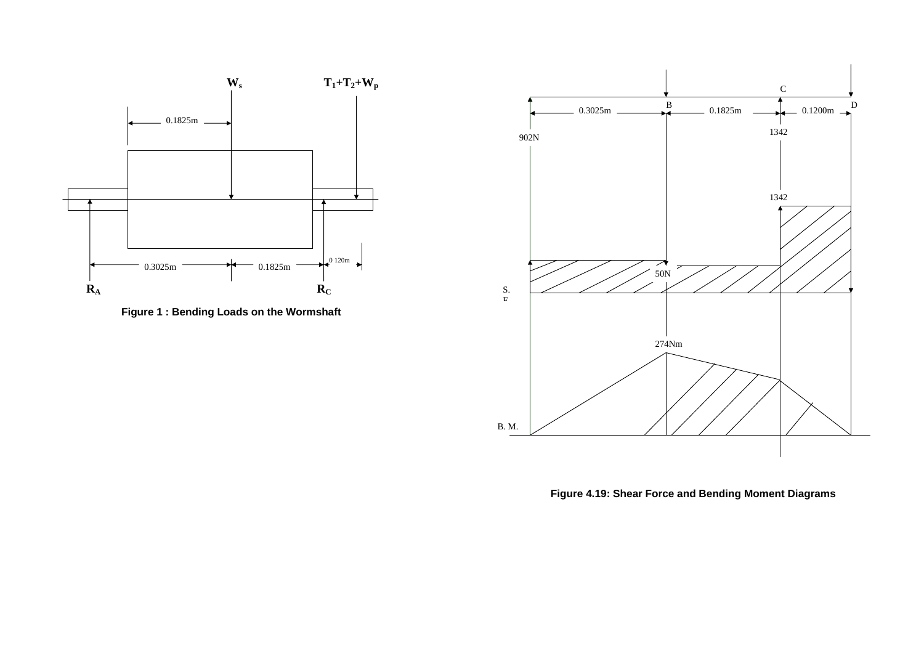

**Figure 1 : Bending Loads on the Wormshaft** 



**Figure 4.19: Shear Force and Bending Moment Diagrams**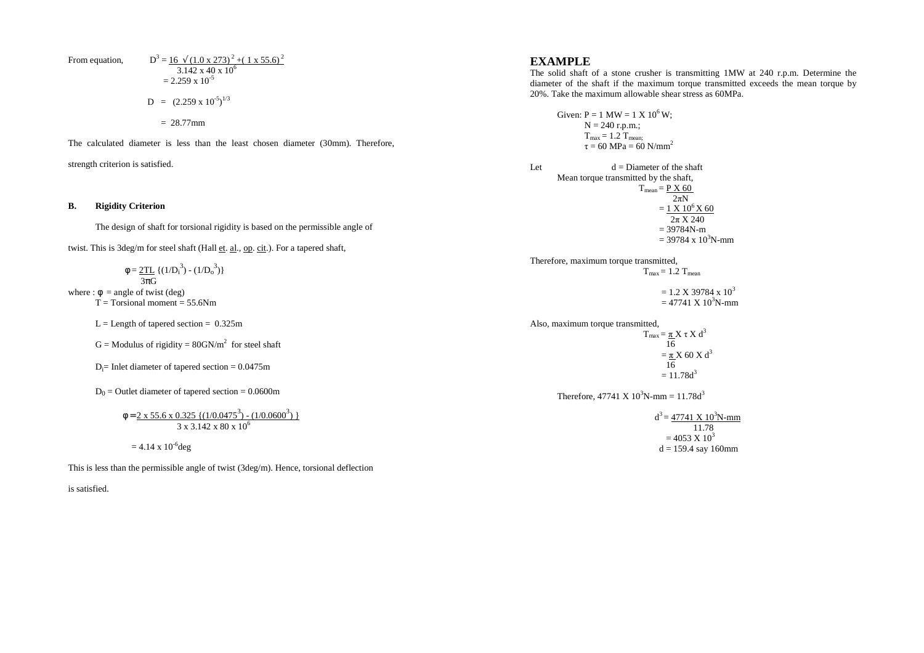From equation,  
\n
$$
D^3 = \frac{16 \sqrt{(1.0 \times 273)^2 + (1 \times 55.6)^2}}{3.142 \times 40 \times 10^6}
$$
\n
$$
= 2.259 \times 10^{-5}
$$
\n
$$
D = (2.259 \times 10^{-5})^{1/3}
$$
\n
$$
= 28.77 \text{ mm}
$$

The calculated diameter is less than the least chosen diameter (30mm). Therefore,

strength criterion is satisfied.

#### **B. Rigidity Criterion**

The design of shaft for torsional rigidity is based on the permissible angle of

twist. This is 3deg/m for steel shaft (Hall et. al., op. cit.). For a tapered shaft,

 $\phi = 2TL \{(1/D_i^3) - (1/D_o^3)\}$  $\overline{3\pi G}$ where :  $\phi$  = angle of twist (deg)

 $T = Torsional moment = 55.6Nm$ 

 $L =$  Length of tapered section = 0.325m

 $G =$  Modulus of rigidity = 80GN/ $m<sup>2</sup>$  for steel shaft

 $D_i$ = Inlet diameter of tapered section = 0.0475m

 $D_0$  = Outlet diameter of tapered section = 0.0600m

$$
\Phi = \frac{2 \times 55.6 \times 0.325 \{ (1/0.0475^3) - (1/0.0600^3) \}}{3 \times 3.142 \times 80 \times 10^6}
$$

$$
= 4.14 \times 10^{-6}
$$
deg

This is less than the permissible angle of twist (3deg/m). Hence, torsional deflection

is satisfied.

## **EXAMPLE**

 The solid shaft of a stone crusher is transmitting 1MW at 240 r.p.m. Determine the diameter of the shaft if the maximum torque transmitted exceeds the mean torque by 20%. Take the maximum allowable shear stress as 60MPa.

Given:  $P = 1$  MW =  $1$  X  $10^6$  W;  $N = 240$  r.p.m.;  $T_{\text{max}} = 1.2 T_{\text{mean}}$ ;  $\tau = 60 \text{ MPa} = 60 \text{ N/mm}^2$ Let  $d =$ Diameter of the shaft Mean torque transmitted by the shaft,  $T_{\text{mean}} = P X 60$  $2\pi N$  $= 1 \times 10^6 X 60$  $2\pi$  X 240  $= 39784N-m$  $= 39784 \times 10^{3}$ N-mm Therefore, maximum torque transmitted,  $T_{\text{max}} = 1.2 T_{\text{mean}}$  $= 1.2$  X 39784 x 10<sup>3</sup>  $= 47741 \text{ X } 10^3 \text{N-mm}$ Also, maximum torque transmitted,  $T_{\text{max}} = \underline{\pi} X \tau X d^3$  16  $\underline{\pi}$  X 60 X d<sup>3</sup>  $= \pi$  16  $= 11.78d<sup>3</sup>$ Therefore,  $47741 \text{ X } 10^3 \text{N-mm} = 11.78 \text{d}^3$  $d^3 = 47741 \text{ X } 10^3 \text{N-mm}$  11.78  $= 4053 \text{ X} 10^3$  $d = 159.4$  say 160mm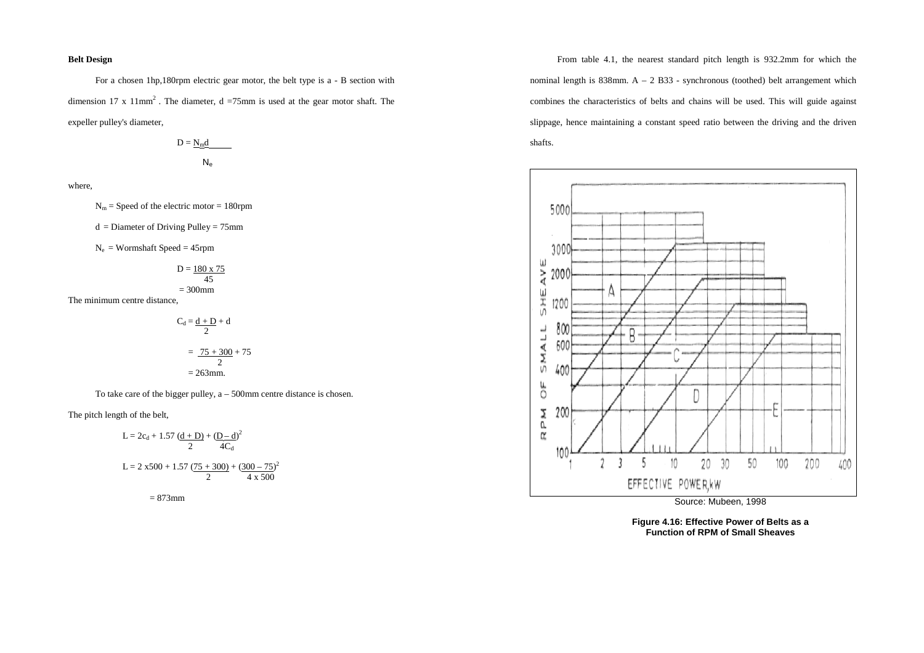#### **Belt Design**

For a chosen 1hp,180rpm electric gear motor, the belt type is a - B section with dimension 17 x  $11mm^2$ . The diameter, d =75mm is used at the gear motor shaft. The expeller pulley's diameter,

$$
D = \underline{N_{m}d}
$$

$$
N_{e}
$$

where,

 $N_m$  = Speed of the electric motor = 180rpm

 $d =$ Diameter of Driving Pulley = 75mm

 $N_e$  = Wormshaft Speed = 45rpm

$$
D = \frac{180 \times 75}{45}
$$
  
= 300mm

The minimum centre distance,

$$
C_d = \frac{d + D}{2} + d
$$

$$
= \frac{75 + 300}{2} + 75
$$

$$
= 263 \text{mm}.
$$

To take care of the bigger pulley, a – 500mm centre distance is chosen.

The pitch length of the belt,

$$
L = 2c_d + 1.57 \frac{(d+D)}{2} + \frac{(D-d)}{4C_d}
$$
  
\n
$$
L = 2 x500 + 1.57 \frac{(75+300)}{2} + \frac{(300-75)^2}{4 x 500}
$$

 $= 873$ mm

From table 4.1, the nearest standard pitch length is 932.2mm for which the nominal length is  $838$ mm. A – 2 B33 - synchronous (toothed) belt arrangement which combines the characteristics of belts and chains will be used. This will guide against slippage, hence maintaining a constant speed ratio between the driving and the driven shafts.



Source: Mubeen, 1998

**Figure 4.16: Effective Power of Belts as a Function of RPM of Small Sheaves**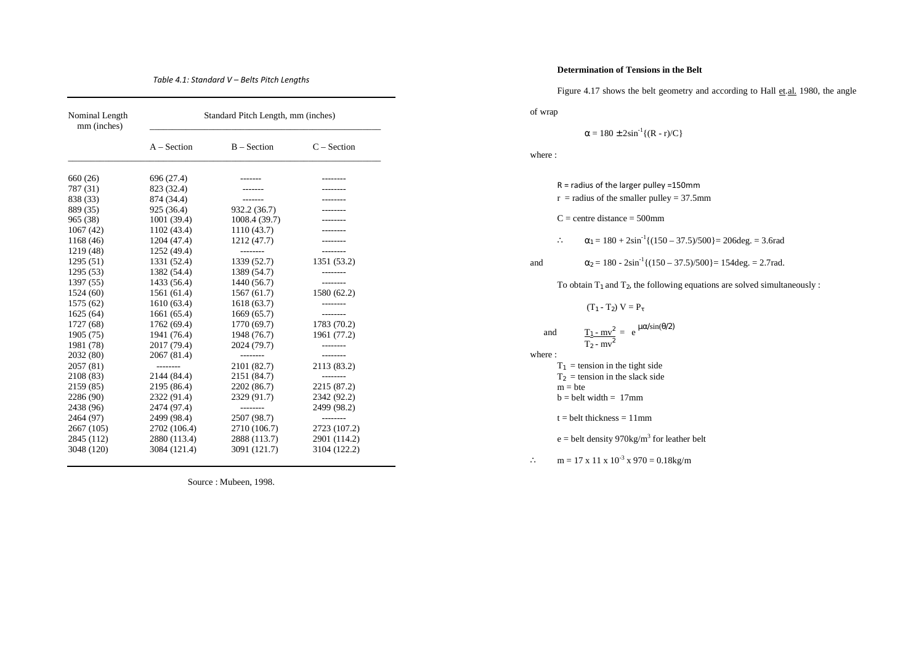## *Table 4.1: Standard V – Belts Pitch Lengths*

| Nominal Length<br>mm (inches) | Standard Pitch Length, mm (inches) |               |               |
|-------------------------------|------------------------------------|---------------|---------------|
|                               | $A - Section$                      | $B - Section$ | $C - Section$ |
| 660 (26)                      | 696 (27.4)                         | -------       | --------      |
| 787 (31)                      | 823 (32.4)                         | -------       |               |
| 838 (33)                      | 874 (34.4)                         |               |               |
| 889 (35)                      | 925 (36.4)                         | 932.2 (36.7)  |               |
| 965 (38)                      | 1001(39.4)                         | 1008.4(39.7)  |               |
| 1067(42)                      | 1102 (43.4)                        | 1110(43.7)    |               |
| 1168 (46)                     | 1204 (47.4)                        | 1212 (47.7)   |               |
| 1219 (48)                     | 1252 (49.4)                        | --------      | --------      |
| 1295(51)                      | 1331 (52.4)                        | 1339 (52.7)   | 1351 (53.2)   |
| 1295(53)                      | 1382 (54.4)                        | 1389 (54.7)   | --------      |
| 1397 (55)                     | 1433 (56.4)                        | 1440 (56.7)   | --------      |
| 1524(60)                      | 1561 (61.4)                        | 1567(61.7)    | 1580 (62.2)   |
| 1575 (62)                     | 1610(63.4)                         | 1618(63.7)    | --------      |
| 1625(64)                      | 1661(65.4)                         | 1669(65.7)    | --------      |
| 1727 (68)                     | 1762 (69.4)                        | 1770 (69.7)   | 1783 (70.2)   |
| 1905 (75)                     | 1941 (76.4)                        | 1948 (76.7)   | 1961 (77.2)   |
| 1981 (78)                     | 2017 (79.4)                        | 2024 (79.7)   | --------      |
| 2032 (80)                     | 2067 (81.4)                        | --------      | --------      |
| 2057 (81)                     | --------                           | 2101 (82.7)   | 2113 (83.2)   |
| 2108 (83)                     | 2144 (84.4)                        | 2151 (84.7)   | --------      |
| 2159 (85)                     | 2195 (86.4)                        | 2202 (86.7)   | 2215 (87.2)   |
| 2286 (90)                     | 2322 (91.4)                        | 2329 (91.7)   | 2342 (92.2)   |
| 2438 (96)                     | 2474 (97.4)                        | --------      | 2499 (98.2)   |
| 2464 (97)                     | 2499 (98.4)                        | 2507 (98.7)   | --------      |
| 2667 (105)                    | 2702 (106.4)                       | 2710 (106.7)  | 2723 (107.2)  |
| 2845 (112)                    | 2880 (113.4)                       | 2888 (113.7)  | 2901 (114.2)  |
| 3048 (120)                    | 3084 (121.4)                       | 3091 (121.7)  | 3104 (122.2)  |

Source : Mubeen, 1998.

## **Determination of Tensions in the Belt**

Figure 4.17 shows the belt geometry and according to Hall et. al. 1980, the angle

of wrap

 $\alpha = 180 \pm 2\sin^{-1}\{(R - r)/C\}$ 

where :

|               | $R =$ radius of the larger pulley =150mm<br>$r =$ radius of the smaller pulley = 37.5mm                      |  |  |
|---------------|--------------------------------------------------------------------------------------------------------------|--|--|
|               | $C =$ centre distance = 500mm                                                                                |  |  |
|               | $\alpha_1 = 180 + 2\sin^{-1}\{(150 - 37.5)/500\} = 206 \text{deg.} = 3.6 \text{rad}$<br>$\ddot{\phantom{a}}$ |  |  |
| and           | $\alpha_2 = 180 - 2\sin^{-1}\{(150 - 37.5)/500\} = 154 \text{deg.} = 2.7 \text{rad.}$                        |  |  |
|               | To obtain $T_1$ and $T_2$ , the following equations are solved simultaneously:                               |  |  |
|               | $(T_1 - T_2) V = P_{\tau}$                                                                                   |  |  |
| and<br>where: | $\frac{T_1 - mv^2}{T_2 - mv^2} = e^{\mu \alpha / sin(\theta/2)}$                                             |  |  |
|               | $T_1$ = tension in the tight side                                                                            |  |  |
|               | $T_2$ = tension in the slack side                                                                            |  |  |
|               | $m = bte$<br>$b = belt width = 17mm$                                                                         |  |  |
|               | $t = \text{belt}$ thickness = 11mm                                                                           |  |  |
|               | $e =$ belt density 970kg/m <sup>3</sup> for leather belt                                                     |  |  |
|               | $m = 17$ x 11 x $10^{-3}$ x 970 = 0.18kg/m                                                                   |  |  |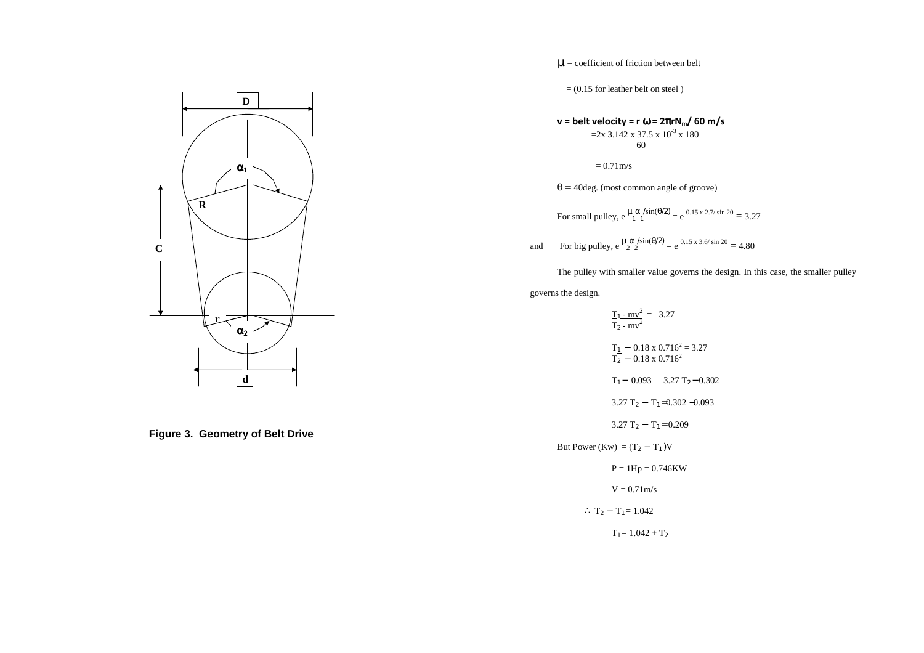

**Figure 3. Geometry of Belt Drive** 

 $\mu$  = coefficient of friction between belt

 $= (0.15$  for leather belt on steel)

$$
\mathbf{v} = \text{belt velocity} = \mathbf{r} \ \mathbf{\omega} = 2\pi \mathbf{r} \mathbf{N}_{\text{m}} / 60 \ \text{m/s}
$$

$$
= \frac{2 \times 3.142 \times 37.5 \times 10^{-3} \times 180}{60}
$$

 $= 0.71 \,\mathrm{m/s}$ 

 $\theta$  = 40 deg. (most common angle of groove)

For small pulley,  $e^{\mu} \frac{\alpha}{1} \frac{\sin(\theta/2)}{1} = e^{0.15 \times 2.7/\sin 20} = 3.27$ 

and For big pulley,  $e^{\mu \alpha / sin(\theta/2)} = e^{0.15 \times 3.6/ sin 20} = 4.80$ 

The pulley with smaller value governs the design. In this case, the smaller pulley

governs the design.

$$
\frac{T_1 - mv^2}{T_2 - mv^2} = 3.27
$$
  
\n
$$
\frac{T_1 - 0.18 \times 0.716^2}{T_2 - 0.18 \times 0.716^2} = 3.27
$$
  
\n
$$
T_1 - 0.093 = 3.27 T_2 - 0.302
$$
  
\n
$$
3.27 T_2 - T_1 = 0.302 - 0.093
$$
  
\n
$$
3.27 T_2 - T_1 = 0.209
$$
  
\nBut Power (Kw) = (T<sub>2</sub> - T<sub>1</sub>)V  
\nP = 1Hp = 0.746KW

 $V = 0.71 \text{m/s}$ 

$$
\therefore T_2 - T_1 = 1.042
$$

 $T_1 = 1.042 + T_2$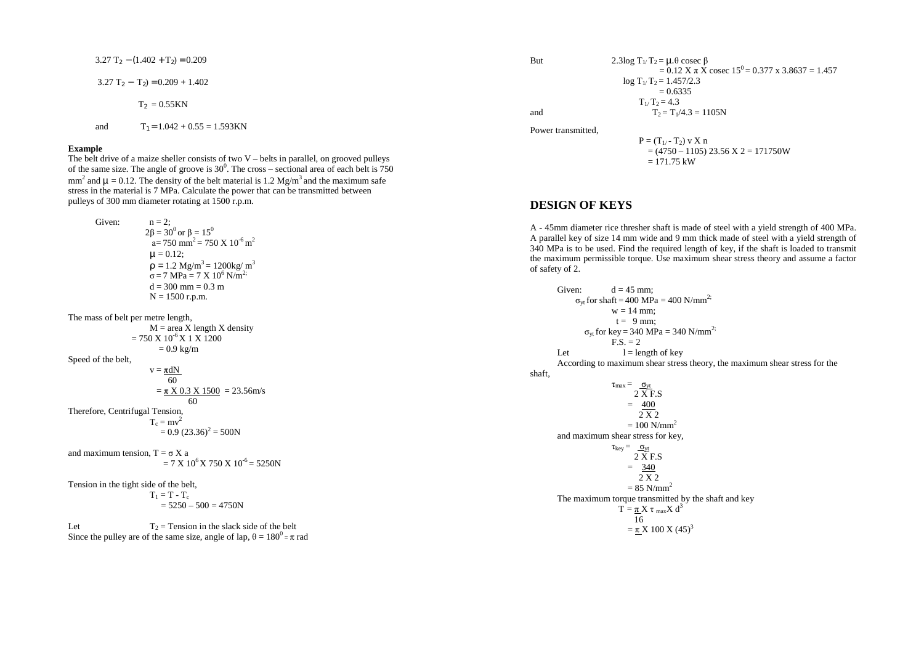$3.27 T_2 - (1.402 + T_2) = 0.209$ 

 $3.27$  T<sub>2</sub> − T<sub>2</sub>) = 0.209 + 1.402

 $T_2 = 0.55KN$ 

and  $T_1 = 1.042 + 0.55 = 1.593$ KN

#### **Example**

 The belt drive of a maize sheller consists of two V – belts in parallel, on grooved pulleys of the same size. The angle of groove is  $30^0$ . The cross – sectional area of each belt is 750 mm<sup>2</sup> and  $\mu = 0.12$ . The density of the belt material is 1.2 Mg/m<sup>3</sup> and the maximum safe stress in the material is 7 MPa. Calculate the power that can be transmitted between pulleys of 300 mm diameter rotating at 1500 r.p.m.

Given:  $n = 2$ ;  $2\beta = 30^0$  or  $\beta = 15^0$ 

 $a = 750$  mm<sup>2</sup> = 750 X 10<sup>-6</sup> m<sup>2</sup>  $\mu = 0.12$ ;  $\rho = 1.2 \text{ Mg/m}^3 = 1200 \text{kg/m}^3$  $\sigma$  = 7 MPa = 7 X 10<sup>6</sup> N/m<sup>2;</sup>  $d = 300$  mm = 0.3 m  $N = 1500$  r.p.m.

The mass of belt per metre length,

 $M = \text{area } X \text{ length } X \text{ density}$  $= 750 \text{ X} 10^{-6} \text{ X} 1 \text{ X} 1200$  $= 0.9$  kg/m Speed of the belt,  $v = \pi dN$  60  $=\pi X 0.3 X 1500 = 23.56$ m/s 60 Therefore, Centrifugal Tension,

> $T_c = mv^2$  $= 0.9$  (23.36)<sup>2</sup> = 500N

and maximum tension,  $T = \sigma X$  a  $= 7 \text{ X } 10^6 \text{ X } 750 \text{ X } 10^{-6} = 5250 \text{ N}$ 

Tension in the tight side of the belt,  $T_1 = T - T_c$ 

$$
= 5250 - 500 = 4750N
$$

Let  $T_2$  = Tension in the slack side of the belt Since the pulley are of the same size, angle of lap,  $\theta = 180^\circ = \pi$  rad But 2.3log  $T_1/T_2 = \mu \theta$  cosec  $\beta$  $= 0.12$  X  $\pi$  X cosec  $15^{0} = 0.377$  x 3.8637 = 1.457  $\log T_1/T_2 = 1.457/2.3$  $= 0.6335$  $T_1/T_2 = 4.3$ and  $T_2 = T_1/4.3 = 1105N$ 

Power transmitted,

 $P = (T_{1/2} - T_2)$  v X n  $= (4750 - 1105) 23.56 \text{ X } 2 = 171750 \text{W}$  $= 171.75$  kW

## **DESIGN OF KEYS**

A - 45mm diameter rice thresher shaft is made of steel with a yield strength of 400 MPa. A parallel key of size 14 mm wide and 9 mm thick made of steel with a yield strength of 340 MPa is to be used. Find the required length of key, if the shaft is loaded to transmit the maximum permissible torque. Use maximum shear stress theory and assume a factor of safety of 2.

Given:  $d = 45$  mm:  $\sigma_{\text{yt}}$  for shaft = 400 MPa = 400 N/mm<sup>2;</sup>  $w = 14$  mm;  $t = 9$  mm;  $\sigma_{yt}$  for key = 340 MPa = 340 N/mm<sup>2;</sup>  $F.S. = 2$ Let  $l =$  length of key According to maximum shear stress theory, the maximum shear stress for the shaft,  $\tau_{max} = \underline{\sigma}_{vt}$  2 X F.S  $= 400$  2 X 2  $= 100$  N/mm<sup>2</sup> and maximum shear stress for key,  $\tau_{key} = \underline{\sigma}_{yt}$  2 X F.S  $= 340$  2 X 2  $= 85$  N/mm<sup>2</sup> The maximum torque transmitted by the shaft and key**The Community of the Community of the Community of the Community of the Community of the Community of the Comm**  $T = \pi X \tau_{max} X d^3$  $\overline{16}$  $=\underline{\pi} X 100 X (45)^3$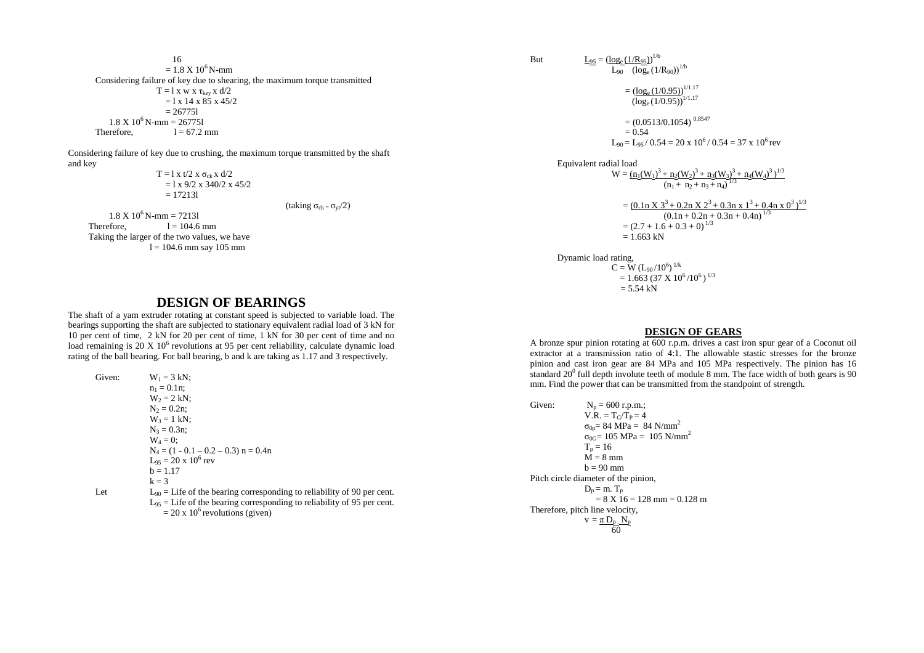16  $= 1.8 \text{ X } 10^6 \text{ N-mm}$  Considering failure of key due to shearing, the maximum torque transmitted  $T = 1 x w x \tau_{\text{key}} x d/2$  $= 1 \times 14 \times 85 \times 45/2$  $-267751$  $1.8 \text{ X } 10^6 \text{ N-mm} = 267751$ Therefore,  $l = 67.2$  mm

Considering failure of key due to crushing, the maximum torque transmitted by the shaft and key

 $T = 1 x t/2 x \sigma_{ck} x d/2$  $= 1 \times 9/2 \times 340/2 \times 45/2$  $= 172131$ 

(taking  $\sigma_{ck} = \sigma_{vt}/2$ )

 $1.8 \text{ X } 10^6 \text{ N-mm} = 72131$ Therefore,  $l = 104.6$  mm Taking the larger of the two values, we have  $l = 104.6$  mm say 105 mm

# **DESIGN OF BEARINGS**

 The shaft of a yam extruder rotating at constant speed is subjected to variable load. The bearings supporting the shaft are subjected to stationary equivalent radial load of 3 kN for 10 per cent of time, 2 kN for 20 per cent of time, 1 kN for 30 per cent of time and no load remaining is 20 X 10<sup>6</sup> revolutions at 95 per cent reliability, calculate dynamic load rating of the ball bearing. For ball bearing, b and k are taking as 1.17 and 3 respectively.

Given:  $W_1 = 3 kN$ ;  $n_1 = 0.1n$ ;  $W_2 = 2$  kN;  $N_2 = 0.2n$ ;  $W_3 = 1$  kN;  $N_3 = 0.3n$ ;  $W_4 = 0$ ;  $N_4 = (1 - 0.1 - 0.2 - 0.3)$  n = 0.4n  $L_{95} = 20 \times 10^6$  rev  $b = 1.17$  $k = 3$ Let  $L_{90} =$  Life of the bearing corresponding to reliability of 90 per cent.  $L_{95}$  = Life of the bearing corresponding to reliability of 95 per cent.  $= 20 \times 10^6$  revolutions (given)

But 
$$
\underline{L}_{95} = (\underline{\log_e (1/R_{95})})^{1/b}
$$

 $\frac{L_{\text{ge}}(1/\text{N}95)}{L_{90}}$  (log<sub>e</sub> (1/R<sub>90</sub>))<sup>1/b</sup>  $=$   $(\log_e(1/0.95))^{1/1.17}$  $(\log_e(1/0.95))^{1/1.17}$  $= (0.0513/0.1054)^{0.8547}$  $= 0.54$  $L_{90} = L_{95} / 0.54 = 20 \times 10^{6} / 0.54 = 37 \times 10^{6}$  rev

Equivalent radial load

 $W = (n_1(W_1)^3 + n_2(W_2)^3 + n_3(W_3)^3 + n_4(W_4)^3)^{1/3}$  $(n_1 + n_2 + n_3 + n_4)^{1/3}$ 

 $= (0.1 \text{ n X } 3^3 + 0.2 \text{ n X } 2^3 + 0.3 \text{ n X } 1^3 + 0.4 \text{ n X } 0^3)^{1/3}$  $(0.1n + 0.2n + 0.3n + 0.4n)^{1/3}$  $=(2.7 + 1.6 + 0.3 + 0)^{1/3}$  $= 1.663$  kN

```
 Dynamic load rating, C = W (L_{90}/10^6)^{1/k}= 1.663 (37 X 10^6/10^6)<sup>1/3</sup>
                      = 5.54 kN
```
## **DESIGN OF GEARS**

 A bronze spur pinion rotating at 600 r.p.m. drives a cast iron spur gear of a Coconut oil extractor at a transmission ratio of 4:1. The allowable stastic stresses for the bronze pinion and cast iron gear are 84 MPa and 105 MPa respectively. The pinion has 16 standard  $20^0$  full depth involute teeth of module 8 mm. The face width of both gears is 90 mm. Find the power that can be transmitted from the standpoint of strength.

```
Given: N_p = 600 r.p.m.;
                V.R. = T_G/T_P = 4\sigma_{0p}= 84 MPa = 84 N/mm<sup>2</sup>
                σ<sub>0G</sub>= 105 MPa = 105 N/mm<sup>2</sup>T_p = 16\dot{M} = 8 mm
b = 90 mm

Pitch circle diameter of the pinion, D_p = m. T<sub>p</sub>
                  = 8 \text{ X } 16 = 128 \text{ mm} = 0.128 \text{ m}Therefore, pitch line velocity, v = \pi D_p N_p 60
```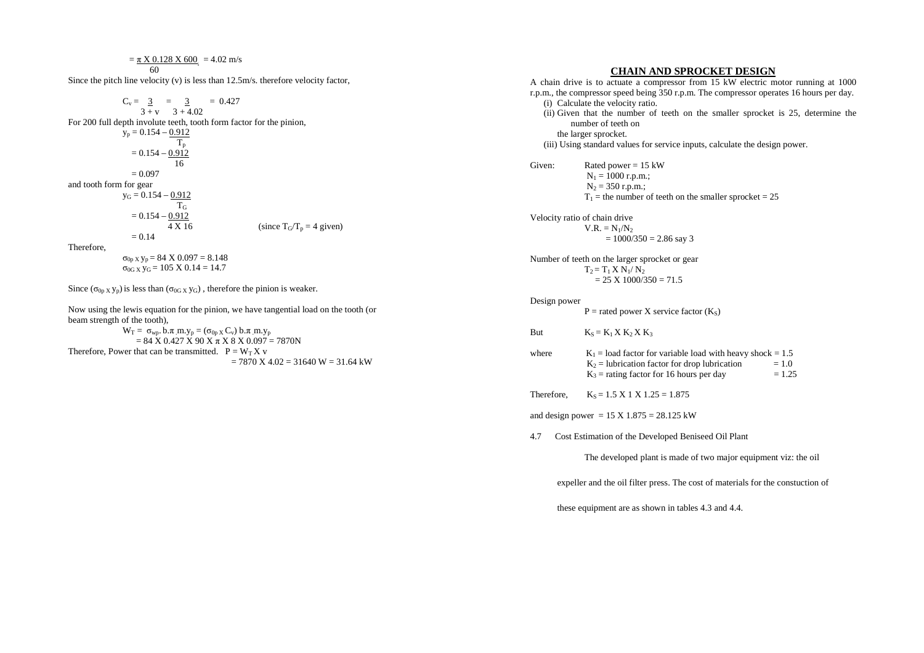$$
C_v = \frac{3}{3+v} = \frac{3}{3+4.02}
$$
  
For 200 full depth involute teeth, tooth form factor for the pinion,  
 $y_p = 0.154 - \frac{0.912}{T_p}$   
 $= 0.154 - \frac{0.912}{16}$   
 $= 0.097$   
and tooth form for gear  
 $y_G = 0.154 - \frac{0.912}{T_G}$   
 $= 0.154 - \frac{0.912}{T_G}$   
 $= 0.154 - \frac{0.912}{4 \times 16}$  (since  $T_G/T_p = 4$  given)  
 $= 0.14$   
Therefore,  
 $\sigma_{0p} \times y_p = 84 \times 0.097 = 8.148$   
 $\sigma_{0G} \times y_G = 105 \times 0.14 = 14.7$ 

Since  $(\sigma_{0p}$  x y<sub>p</sub>) is less than  $(\sigma_{0G}$  x y<sub>G</sub>), therefore the pinion is weaker.

Now using the lewis equation for the pinion, we have tangential load on the tooth (or beam strength of the tooth),

 $W_T = \sigma_{wp}$ . b. $\pi$  m.y<sub>p</sub> = ( $\sigma_{0pX} C_v$ ) b. $\pi$  m.y<sub>p</sub>  $= 84 \text{ X } 0.427 \text{ X } 90 \text{ X } \pi \text{ X } 8 \text{ X } 0.097 = 7870 \text{ N}$ Therefore, Power that can be transmitted.  $P = W_T X v$  $= 7870$  X 4.02  $= 31640$  W  $= 31.64$  kW

## **CHAIN AND SPROCKET DESIGN**

```

A chain drive is to actuate a compressor from 15 kW electric motor running at 1000 r.p.m., the compressor speed being 350 r.p.m. The compressor operates 16 hours per day. (i) Calculate the velocity ratio. 
    (ii) Given that the number of teeth on the smaller sprocket is 25, determine the 
          number of teeth on  the larger sprocket. 
(iii) Using standard values for service inputs, calculate the design power. Given: Rated power = 15 \text{ kW}N_1 = 1000 r.p.m.;
               N_2 = 350 r.p.m.;
               T_1 = the number of teeth on the smaller sprocket = 25
Velocity ratio of chain drive V.R. = N_1/N_2= 1000/350 = 2.86 say 3
Number of teeth on the larger sprocket or gear T_2 = T_1 X N_1/N_2= 25 \text{ X } 1000/350 = 71.5Design power P = rated power X service factor (K<sub>S</sub>)But K_S = K_1 X K_2 X K_3where K_1 = load factor for variable load with heavy shock = 1.5K_2 = lubrication factor for drop lubrication = 1.0
                                                                  = 1.25K_3 = rating factor for 16 hours per day
Therefore, K_S = 1.5 \times 1 \times 1.25 = 1.875and design power = 15 \text{ X} 1.875 = 28.125 kW
4.7 Cost Estimation of the Developed Beniseed Oil Plant
              The developed plant is made of two major equipment viz: the oilexpeller and the oil filter press. The cost of materials for the constuction of
```
these equipment are as shown in tables 4.3 and 4.4.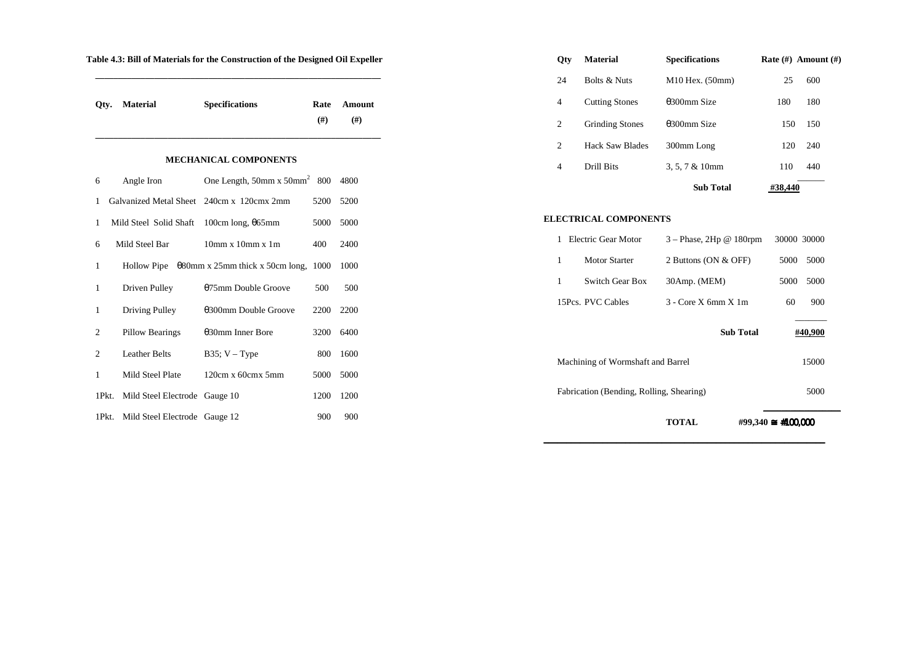| Table 4.3: Bill of Materials for the Construction of the Designed Oil Expeller |  |
|--------------------------------------------------------------------------------|--|
|                                                                                |  |

| Otv.           | <b>Material</b>               | <b>Specifications</b>                                    | Rate<br>#) | <b>Amount</b><br>(#) |
|----------------|-------------------------------|----------------------------------------------------------|------------|----------------------|
|                |                               | <b>MECHANICAL COMPONENTS</b>                             |            |                      |
| 6              | Angle Iron                    | One Length, $50$ mm x $50$ mm <sup>2</sup> 800           |            | 4800                 |
| 1              | Galvanized Metal Sheet        | $240cm x$ 120 $cmx$ 2mm                                  | 5200       | 5200                 |
| 1              | Mild Steel Solid Shaft        | 100cm long, $\theta$ 65mm                                | 5000       | 5000                 |
| 6              | Mild Steel Bar                | $10mm \times 10mm \times 1m$                             | 400        | 2400                 |
| 1              |                               | Hollow Pipe $\theta$ 80mm x 25mm thick x 50cm long, 1000 |            | 1000                 |
| 1              | Driven Pulley                 | 075mm Double Groove                                      | 500        | 500                  |
| 1              | Driving Pulley                | 0300mm Double Groove                                     | 2200       | 2200                 |
| $\overline{2}$ | Pillow Bearings               | $\theta$ 30mm Inner Bore                                 | 3200       | 6400                 |
| $\overline{c}$ | <b>Leather Belts</b>          | B35; $V - Type$                                          | 800        | 1600                 |
| 1              | Mild Steel Plate              | $120cm \times 60cm \times 5mm$                           | 5000       | 5000                 |
| 1Pkt.          | Mild Steel Electrode Gauge 10 |                                                          | 1200       | 1200                 |
| 1Pkt.          | Mild Steel Electrode Gauge 12 |                                                          | 900        | 900                  |

| <b>Oty</b> | <b>Material</b>         | <b>Specifications</b>   |         | Rate $(\#)$ Amount $(\#)$ |
|------------|-------------------------|-------------------------|---------|---------------------------|
| 24         | <b>Bolts &amp; Nuts</b> | $M10$ Hex. $(50$ mm $)$ | 25      | 600                       |
| 4          | <b>Cutting Stones</b>   | $\theta$ 300mm Size     | 180     | 180                       |
| 2          | <b>Grinding Stones</b>  | $\theta$ 300mm Size     | 150     | 150                       |
| 2          | Hack Saw Blades         | 300mm Long              | 120     | 240                       |
| 4          | Drill Bits              | $3, 5, 7 & 10$ mm       | 110     | 440                       |
|            |                         | <b>Sub Total</b>        | #38,440 |                           |

#### **ELECTRICAL COMPONENTS**

|                                                  | TOTAL                                                | $\text{\#99,340} \cong \text{\#100,000}$ |  |
|--------------------------------------------------|------------------------------------------------------|------------------------------------------|--|
| Fabrication (Bending, Rolling, Shearing)<br>5000 |                                                      |                                          |  |
| 15000<br>Machining of Wormshaft and Barrel       |                                                      |                                          |  |
|                                                  | <b>Sub Total</b>                                     | #40,900                                  |  |
| 15Pcs. PVC Cables                                | $3 - \text{Core} \times \text{fmm} \times \text{1m}$ | 60<br>900                                |  |
| 1<br>Switch Gear Box                             | 30Amp. (MEM)                                         | 5000<br>5000                             |  |
| 1<br><b>Motor Starter</b>                        | 2 Buttons (ON & OFF)                                 | 5000<br>5000                             |  |
| Electric Gear Motor<br>1                         | $3 - Phase$ , $2Hp \& 180$ rpm                       | 30000 30000                              |  |

\_\_\_\_\_\_\_\_\_\_\_\_\_\_\_\_\_\_\_\_\_\_\_\_\_\_\_\_\_\_\_\_\_\_\_\_\_\_\_\_\_\_\_\_\_\_\_\_\_\_\_ \_\_\_\_\_\_\_\_\_\_\_\_\_\_\_\_\_\_\_\_\_\_\_\_\_\_\_\_\_\_\_\_\_\_\_\_\_\_\_\_\_\_\_\_\_\_\_\_\_\_\_\_\_\_\_\_\_\_\_\_\_\_ \_\_\_\_\_\_\_\_\_\_\_\_\_\_\_\_\_\_\_\_\_\_\_\_\_\_\_\_\_\_\_\_\_\_\_\_\_\_\_\_\_\_\_\_\_\_\_\_\_\_\_\_\_\_\_\_\_